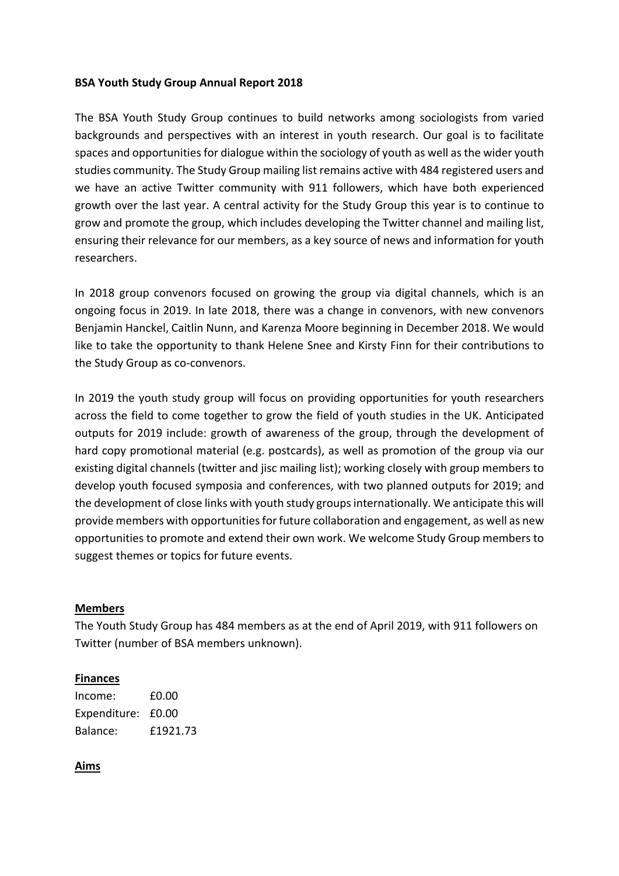### **BSA Youth Study Group Annual Report 2018**

The BSA Youth Study Group continues to build networks among sociologists from varied backgrounds and perspectives with an interest in youth research. Our goal is to facilitate spaces and opportunities for dialogue within the sociology of youth as well as the wider youth studies community. The Study Group mailing list remains active with 484 registered users and we have an active Twitter community with 911 followers, which have both experienced growth over the last year. A central activity for the Study Group this year is to continue to grow and promote the group, which includes developing the Twitter channel and mailing list, ensuring their relevance for our members, as a key source of news and information for youth researchers.

In 2018 group convenors focused on growing the group via digital channels, which is an ongoing focus in 2019. In late 2018, there was a change in convenors, with new convenors Benjamin Hanckel, Caitlin Nunn, and Karenza Moore beginning in December 2018. We would like to take the opportunity to thank Helene Snee and Kirsty Finn for their contributions to the Study Group as co‐convenors.

In 2019 the youth study group will focus on providing opportunities for youth researchers across the field to come together to grow the field of youth studies in the UK. Anticipated outputs for 2019 include: growth of awareness of the group, through the development of hard copy promotional material (e.g. postcards), as well as promotion of the group via our existing digital channels (twitter and jisc mailing list); working closely with group members to develop youth focused symposia and conferences, with two planned outputs for 2019; and the development of close links with youth study groups internationally. We anticipate this will provide members with opportunities for future collaboration and engagement, as well as new opportunities to promote and extend their own work. We welcome Study Group members to suggest themes or topics for future events.

#### **Members**

The Youth Study Group has 484 members as at the end of April 2019, with 911 followers on Twitter (number of BSA members unknown).

#### **Finances**

| Income:            | £0.00    |
|--------------------|----------|
| Expenditure: £0.00 |          |
| Balance:           | £1921.73 |

#### **Aims**